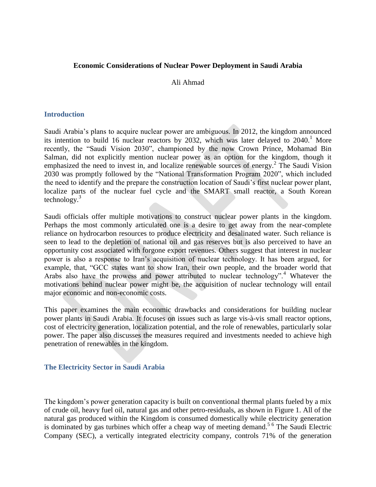### **Economic Considerations of Nuclear Power Deployment in Saudi Arabia**

#### Ali Ahmad

#### **Introduction**

Saudi Arabia's plans to acquire nuclear power are ambiguous. In 2012, the kingdom announced its intention to build 16 nuclear reactors by 2032, which was later delayed to 2040. <sup>1</sup> More recently, the "Saudi Vision 2030", championed by the now Crown Prince, Mohamad Bin Salman, did not explicitly mention nuclear power as an option for the kingdom, though it emphasized the need to invest in, and localize renewable sources of energy.<sup>2</sup> The Saudi Vision 2030 was promptly followed by the "National Transformation Program 2020", which included the need to identify and the prepare the construction location of Saudi's first nuclear power plant, localize parts of the nuclear fuel cycle and the SMART small reactor, a South Korean technology. $3$ 

Saudi officials offer multiple motivations to construct nuclear power plants in the kingdom. Perhaps the most commonly articulated one is a desire to get away from the near-complete reliance on hydrocarbon resources to produce electricity and desalinated water. Such reliance is seen to lead to the depletion of national oil and gas reserves but is also perceived to have an opportunity cost associated with forgone export revenues. Others suggest that interest in nuclear power is also a response to Iran's acquisition of nuclear technology. It has been argued, for example, that, "GCC states want to show Iran, their own people, and the broader world that Arabs also have the prowess and power attributed to nuclear technology".<sup>4</sup> Whatever the motivations behind nuclear power might be, the acquisition of nuclear technology will entail major economic and non-economic costs.

This paper examines the main economic drawbacks and considerations for building nuclear power plants in Saudi Arabia. It focuses on issues such as large vis-à-vis small reactor options, cost of electricity generation, localization potential, and the role of renewables, particularly solar power. The paper also discusses the measures required and investments needed to achieve high penetration of renewables in the kingdom.

### **The Electricity Sector in Saudi Arabia**

The kingdom's power generation capacity is built on conventional thermal plants fueled by a mix of crude oil, heavy fuel oil, natural gas and other petro-residuals, as shown in Figure 1. All of the natural gas produced within the Kingdom is consumed domestically while electricity generation is dominated by gas turbines which offer a cheap way of meeting demand.<sup>56</sup> The Saudi Electric Company (SEC), a vertically integrated electricity company, controls 71% of the generation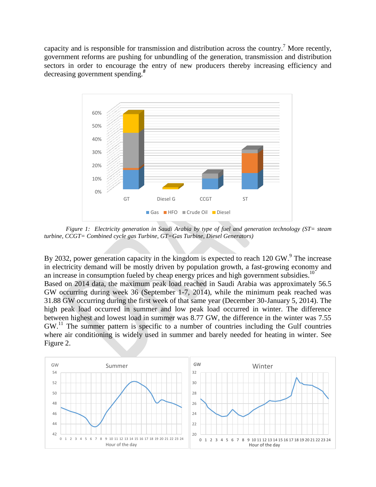capacity and is responsible for transmission and distribution across the country.<sup>7</sup> More recently, government reforms are pushing for unbundling of the generation, transmission and distribution sectors in order to encourage the entry of new producers thereby increasing efficiency and decreasing government spending.*<sup>8</sup>*



*Figure 1: Electricity generation in Saudi Arabia by type of fuel and generation technology (ST= steam turbine, CCGT= Combined cycle gas Turbine, GT=Gas Turbine, Diesel Generators)*

By 2032, power generation capacity in the kingdom is expected to reach 120 GW.<sup>9</sup> The increase in electricity demand will be mostly driven by population growth, a fast-growing economy and an increase in consumption fueled by cheap energy prices and high government subsidies.<sup>10</sup> Based on 2014 data, the maximum peak load reached in Saudi Arabia was approximately 56.5 GW occurring during week 36 (September 1-7, 2014), while the minimum peak reached was 31.88 GW occurring during the first week of that same year (December 30-January 5, 2014). The high peak load occurred in summer and low peak load occurred in winter. The difference between highest and lowest load in summer was 8.77 GW, the difference in the winter was 7.55  $GW<sup>11</sup>$  The summer pattern is specific to a number of countries including the Gulf countries where air conditioning is widely used in summer and barely needed for heating in winter. See Figure 2.

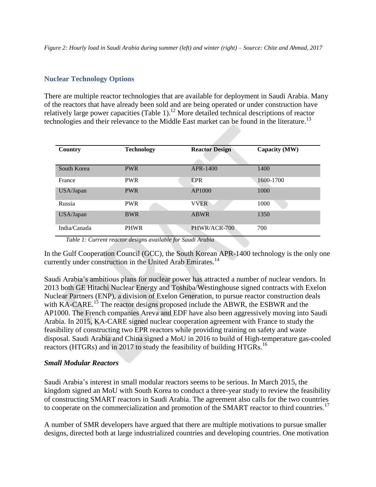*Figure 2: Hourly load in Saudi Arabia during summer (left) and winter (right) – Source: Chite and Ahmad, 2017*

### **Nuclear Technology Options**

There are multiple reactor technologies that are available for deployment in Saudi Arabia. Many of the reactors that have already been sold and are being operated or under construction have relatively large power capacities (Table 1).<sup>12</sup> More detailed technical descriptions of reactor technologies and their relevance to the Middle East market can be found in the literature.<sup>13</sup>

| Country      | <b>Technology</b> | <b>Reactor Design</b> | Capacity (MW) |  |
|--------------|-------------------|-----------------------|---------------|--|
| South Korea  | <b>PWR</b>        | APR-1400              | 1400          |  |
| France       | <b>PWR</b>        | <b>EPR</b>            | 1600-1700     |  |
| USA/Japan    | <b>PWR</b>        | AP1000                | 1000          |  |
| Russia       | <b>PWR</b>        | <b>VVER</b>           | 1000          |  |
| USA/Japan    | <b>BWR</b>        | <b>ABWR</b>           | 1350          |  |
| India/Canada | <b>PHWR</b>       | PHWR/ACR-700          | 700           |  |

*Table 1: Current reactor designs available for Saudi Arabia*

In the Gulf Cooperation Council (GCC), the South Korean APR-1400 technology is the only one currently under construction in the United Arab Emirates.<sup>14</sup>

Saudi Arabia's ambitious plans for nuclear power has attracted a number of nuclear vendors. In 2013 both GE Hitachi Nuclear Energy and Toshiba/Westinghouse signed contracts with Exelon Nuclear Partners (ENP), a division of Exelon Generation, to pursue reactor construction deals with KA-CARE.<sup>15</sup> The reactor designs proposed include the ABWR, the ESBWR and the AP1000. The French companies Areva and EDF have also been aggressively moving into Saudi Arabia. In 2015, KA-CARE signed nuclear cooperation agreement with France to study the feasibility of constructing two EPR reactors while providing training on safety and waste disposal. Saudi Arabia and China signed a MoU in 2016 to build of High-temperature gas-cooled reactors (HTGRs) and in 2017 to study the feasibility of building HTGRs.<sup>16</sup>

# *Small Modular Reactors*

Saudi Arabia's interest in small modular reactors seems to be serious. In March 2015, the kingdom signed an MoU with South Korea to conduct a three-year study to review the feasibility of constructing SMART reactors in Saudi Arabia. The agreement also calls for the two countries to cooperate on the commercialization and promotion of the SMART reactor to third countries.<sup>17</sup>

A number of SMR developers have argued that there are multiple motivations to pursue smaller designs, directed both at large industrialized countries and developing countries. One motivation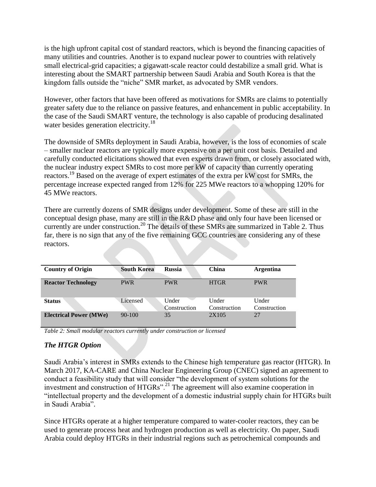is the high upfront capital cost of standard reactors, which is beyond the financing capacities of many utilities and countries. Another is to expand nuclear power to countries with relatively small electrical-grid capacities; a gigawatt-scale reactor could destabilize a small grid. What is interesting about the SMART partnership between Saudi Arabia and South Korea is that the kingdom falls outside the "niche" SMR market, as advocated by SMR vendors.

However, other factors that have been offered as motivations for SMRs are claims to potentially greater safety due to the reliance on passive features, and enhancement in public acceptability. In the case of the Saudi SMART venture, the technology is also capable of producing desalinated water besides generation electricity.<sup>18</sup>

The downside of SMRs deployment in Saudi Arabia, however, is the loss of economies of scale – smaller nuclear reactors are typically more expensive on a per unit cost basis. Detailed and carefully conducted elicitations showed that even experts drawn from, or closely associated with, the nuclear industry expect SMRs to cost more per kW of capacity than currently operating reactors.<sup>19</sup> Based on the average of expert estimates of the extra per kW cost for SMRs, the percentage increase expected ranged from 12% for 225 MWe reactors to a whopping 120% for 45 MWe reactors.

There are currently dozens of SMR designs under development. Some of these are still in the conceptual design phase, many are still in the R&D phase and only four have been licensed or currently are under construction.<sup>20</sup> The details of these SMRs are summarized in Table 2. Thus far, there is no sign that any of the five remaining GCC countries are considering any of these reactors.

| <b>Country of Origin</b>      | <b>South Korea</b> | <b>Russia</b> | China        | <b>Argentina</b> |
|-------------------------------|--------------------|---------------|--------------|------------------|
|                               |                    |               |              |                  |
| <b>Reactor Technology</b>     | <b>PWR</b>         | <b>PWR</b>    | <b>HTGR</b>  | <b>PWR</b>       |
|                               |                    |               |              |                  |
|                               |                    |               |              |                  |
| <b>Status</b>                 | Licensed           | Under         | Under        | Under            |
|                               |                    | Construction  | Construction | Construction     |
| <b>Electrical Power (MWe)</b> | $90 - 100$         | 35            | 2X105        | 27               |
|                               |                    |               |              |                  |

*Table 2: Small modular reactors currently under construction or licensed*

# *The HTGR Option*

Saudi Arabia's interest in SMRs extends to the Chinese high temperature gas reactor (HTGR). In March 2017, KA-CARE and China Nuclear Engineering Group (CNEC) signed an agreement to conduct a feasibility study that will consider "the development of system solutions for the investment and construction of HTGRs".<sup>21</sup> The agreement will also examine cooperation in "intellectual property and the development of a domestic industrial supply chain for HTGRs built in Saudi Arabia".

Since HTGRs operate at a higher temperature compared to water-cooler reactors, they can be used to generate process heat and hydrogen production as well as electricity. On paper, Saudi Arabia could deploy HTGRs in their industrial regions such as petrochemical compounds and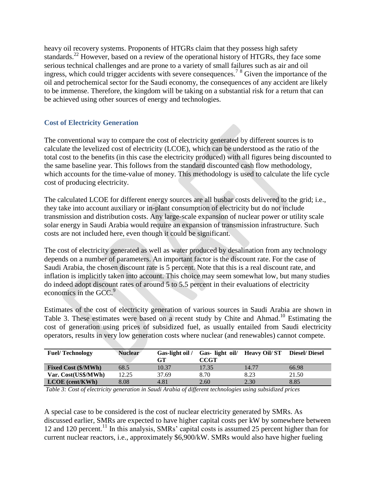heavy oil recovery systems. Proponents of HTGRs claim that they possess high safety standards.<sup>22</sup> However, based on a review of the operational history of HTGRs, they face some serious technical challenges and are prone to a variety of small failures such as air and oil ingress, which could trigger accidents with severe consequences.<sup>7</sup> <sup>8</sup> Given the importance of the oil and petrochemical sector for the Saudi economy, the consequences of any accident are likely to be immense. Therefore, the kingdom will be taking on a substantial risk for a return that can be achieved using other sources of energy and technologies.

# **Cost of Electricity Generation**

The conventional way to compare the cost of electricity generated by different sources is to calculate the levelized cost of electricity (LCOE), which can be understood as the ratio of the total cost to the benefits (in this case the electricity produced) with all figures being discounted to the same baseline year. This follows from the standard discounted cash flow methodology, which accounts for the time-value of money. This methodology is used to calculate the life cycle cost of producing electricity.

The calculated LCOE for different energy sources are all busbar costs delivered to the grid; i.e., they take into account auxiliary or in-plant consumption of electricity but do not include transmission and distribution costs. Any large-scale expansion of nuclear power or utility scale solar energy in Saudi Arabia would require an expansion of transmission infrastructure. Such costs are not included here, even though it could be significant.

The cost of electricity generated as well as water produced by desalination from any technology depends on a number of parameters. An important factor is the discount rate. For the case of Saudi Arabia, the chosen discount rate is 5 percent. Note that this is a real discount rate, and inflation is implicitly taken into account. This choice may seem somewhat low, but many studies do indeed adopt discount rates of around 5 to 5.5 percent in their evaluations of electricity economics in the  $GCC<sup>9</sup>$ 

Estimates of the cost of electricity generation of various sources in Saudi Arabia are shown in Table 3. These estimates were based on a recent study by Chite and Ahmad.<sup>10</sup> Estimating the cost of generation using prices of subsidized fuel, as usually entailed from Saudi electricity operators, results in very low generation costs where nuclear (and renewables) cannot compete.

| <b>Fuel/Technology</b>     | <b>Nuclear</b> | Gas-light oil /<br>GТ | Gas-light oil/<br>CCGT | <b>Heavy Oil/ST</b> | <b>Diesel/Diesel</b> |
|----------------------------|----------------|-----------------------|------------------------|---------------------|----------------------|
| <b>Fixed Cost (\$/MWh)</b> | 68.5           | 10.37                 | 17.35                  | 14.77               | 66.98                |
| Var. Cost(US\$/MWh)        | 12.25          | 37.69                 | 8.70                   | 8.23                | 21.50                |
| $LCOE$ (cent/KWh)          | 8.08           | 4.81                  | 2.60                   | 2.30                | 8.85                 |

*Table 3: Cost of electricity generation in Saudi Arabia of different technologies using subsidized prices*

A special case to be considered is the cost of nuclear electricity generated by SMRs. As discussed earlier, SMRs are expected to have higher capital costs per kW by somewhere between 12 and 120 percent.<sup>11</sup> In this analysis, SMRs' capital costs is assumed 25 percent higher than for current nuclear reactors, i.e., approximately \$6,900/kW. SMRs would also have higher fueling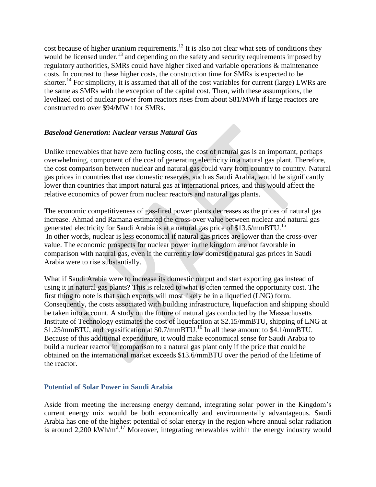cost because of higher uranium requirements.<sup>12</sup> It is also not clear what sets of conditions they would be licensed under, $^{13}$  and depending on the safety and security requirements imposed by regulatory authorities, SMRs could have higher fixed and variable operations & maintenance costs. In contrast to these higher costs, the construction time for SMRs is expected to be shorter.<sup>14</sup> For simplicity, it is assumed that all of the cost variables for current (large) LWRs are the same as SMRs with the exception of the capital cost. Then, with these assumptions, the levelized cost of nuclear power from reactors rises from about \$81/MWh if large reactors are constructed to over \$94/MWh for SMRs.

# *Baseload Generation: Nuclear versus Natural Gas*

Unlike renewables that have zero fueling costs, the cost of natural gas is an important, perhaps overwhelming, component of the cost of generating electricity in a natural gas plant. Therefore, the cost comparison between nuclear and natural gas could vary from country to country. Natural gas prices in countries that use domestic reserves, such as Saudi Arabia, would be significantly lower than countries that import natural gas at international prices, and this would affect the relative economics of power from nuclear reactors and natural gas plants.

The economic competitiveness of gas-fired power plants decreases as the prices of natural gas increase. Ahmad and Ramana estimated the cross-over value between nuclear and natural gas generated electricity for Saudi Arabia is at a natural gas price of \$13.6/mmBTU.<sup>15</sup> In other words, nuclear is less economical if natural gas prices are lower than the cross-over value. The economic prospects for nuclear power in the kingdom are not favorable in comparison with natural gas, even if the currently low domestic natural gas prices in Saudi Arabia were to rise substantially.

What if Saudi Arabia were to increase its domestic output and start exporting gas instead of using it in natural gas plants? This is related to what is often termed the opportunity cost. The first thing to note is that such exports will most likely be in a liquefied (LNG) form. Consequently, the costs associated with building infrastructure, liquefaction and shipping should be taken into account. A study on the future of natural gas conducted by the Massachusetts Institute of Technology estimates the cost of liquefaction at \$2.15/mmBTU, shipping of LNG at \$1.25/mmBTU, and regasification at \$0.7/mmBTU.<sup>16</sup> In all these amount to \$4.1/mmBTU. Because of this additional expenditure, it would make economical sense for Saudi Arabia to build a nuclear reactor in comparison to a natural gas plant only if the price that could be obtained on the international market exceeds \$13.6/mmBTU over the period of the lifetime of the reactor.

### **Potential of Solar Power in Saudi Arabia**

Aside from meeting the increasing energy demand, integrating solar power in the Kingdom's current energy mix would be both economically and environmentally advantageous. Saudi Arabia has one of the highest potential of solar energy in the region where annual solar radiation is around 2,200 kWh/m<sup>2.17</sup> Moreover, integrating renewables within the energy industry would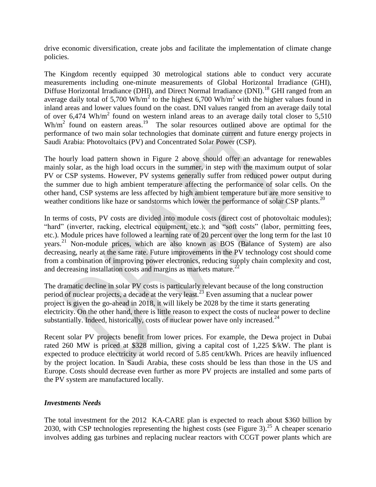drive economic diversification, create jobs and facilitate the implementation of climate change policies.

The Kingdom recently equipped 30 metrological stations able to conduct very accurate measurements including one-minute measurements of Global Horizontal Irradiance (GHI), Diffuse Horizontal Irradiance (DHI), and Direct Normal Irradiance (DNI).<sup>18</sup> GHI ranged from an average daily total of 5,700 Wh/m<sup>2</sup> to the highest 6,700 Wh/m<sup>2</sup> with the higher values found in inland areas and lower values found on the coast. DNI values ranged from an average daily total of over  $6,474 \text{ Wh/m}^2$  found on western inland areas to an average daily total closer to  $5,510$  $Wh/m<sup>2</sup>$  found on eastern areas.<sup>19</sup> The solar resources outlined above are optimal for the performance of two main solar technologies that dominate current and future energy projects in Saudi Arabia: Photovoltaics (PV) and Concentrated Solar Power (CSP).

The hourly load pattern shown in Figure 2 above should offer an advantage for renewables mainly solar, as the high load occurs in the summer, in step with the maximum output of solar PV or CSP systems. However, PV systems generally suffer from reduced power output during the summer due to high ambient temperature affecting the performance of solar cells. On the other hand, CSP systems are less affected by high ambient temperature but are more sensitive to weather conditions like haze or sandstorms which lower the performance of solar CSP plants.<sup>20</sup>

In terms of costs, PV costs are divided into module costs (direct cost of photovoltaic modules); "hard" (inverter, racking, electrical equipment, etc.); and "soft costs" (labor, permitting fees, etc.). Module prices have followed a learning rate of 20 percent over the long term for the last 10 years. <sup>21</sup> Non-module prices, which are also known as BOS (Balance of System) are also decreasing, nearly at the same rate. Future improvements in the PV technology cost should come from a combination of improving power electronics, reducing supply chain complexity and cost, and decreasing installation costs and margins as markets mature. $^{22}$ 

The dramatic decline in solar PV costs is particularly relevant because of the long construction period of nuclear projects, a decade at the very least.<sup>23</sup> Even assuming that a nuclear power project is given the go-ahead in 2018, it will likely be 2028 by the time it starts generating electricity. On the other hand, there is little reason to expect the costs of nuclear power to decline substantially. Indeed, historically, costs of nuclear power have only increased.<sup>24</sup>

Recent solar PV projects benefit from lower prices. For example, the Dewa project in Dubai rated 260 MW is priced at \$328 million, giving a capital cost of 1,225 \$/kW. The plant is expected to produce electricity at world record of 5.85 cent/kWh. Prices are heavily influenced by the project location. In Saudi Arabia, these costs should be less than those in the US and Europe. Costs should decrease even further as more PV projects are installed and some parts of the PV system are manufactured locally.

# *Investments Needs*

The total investment for the 2012 KA-CARE plan is expected to reach about \$360 billion by 2030, with CSP technologies representing the highest costs (see Figure 3).<sup>25</sup> A cheaper scenario involves adding gas turbines and replacing nuclear reactors with CCGT power plants which are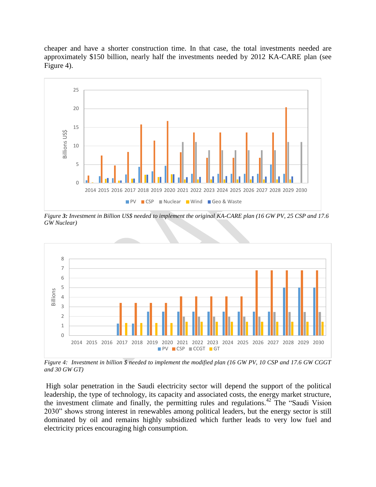cheaper and have a shorter construction time. In that case, the total investments needed are approximately \$150 billion, nearly half the investments needed by 2012 KA-CARE plan (see Figure 4).



*Figure 3: Investment in Billion US\$ needed to implement the original KA-CARE plan (16 GW PV, 25 CSP and 17.6 GW Nuclear)*



*Figure 4: Investment in billion \$ needed to implement the modified plan (16 GW PV, 10 CSP and 17.6 GW CGGT and 30 GW GT)*

High solar penetration in the Saudi electricity sector will depend the support of the political leadership, the type of technology, its capacity and associated costs, the energy market structure, the investment climate and finally, the permitting rules and regulations.<sup>42</sup> The "Saudi Vision" 2030" shows strong interest in renewables among political leaders, but the energy sector is still dominated by oil and remains highly subsidized which further leads to very low fuel and electricity prices encouraging high consumption.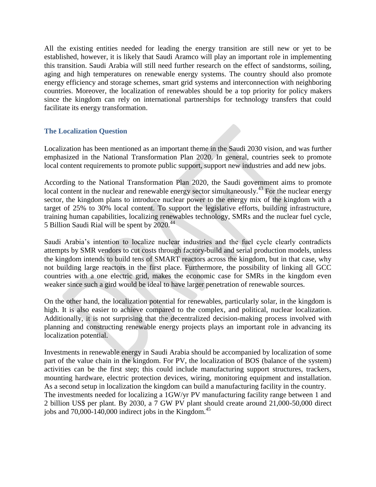All the existing entities needed for leading the energy transition are still new or yet to be established, however, it is likely that Saudi Aramco will play an important role in implementing this transition. Saudi Arabia will still need further research on the effect of sandstorms, soiling, aging and high temperatures on renewable energy systems. The country should also promote energy efficiency and storage schemes, smart grid systems and interconnection with neighboring countries. Moreover, the localization of renewables should be a top priority for policy makers since the kingdom can rely on international partnerships for technology transfers that could facilitate its energy transformation.

### **The Localization Question**

Localization has been mentioned as an important theme in the Saudi 2030 vision, and was further emphasized in the National Transformation Plan 2020. In general, countries seek to promote local content requirements to promote public support, support new industries and add new jobs.

According to the National Transformation Plan 2020, the Saudi government aims to promote local content in the nuclear and renewable energy sector simultaneously.<sup>43</sup> For the nuclear energy sector, the kingdom plans to introduce nuclear power to the energy mix of the kingdom with a target of 25% to 30% local content. To support the legislative efforts, building infrastructure, training human capabilities, localizing renewables technology, SMRs and the nuclear fuel cycle, 5 Billion Saudi Rial will be spent by 2020. 44

Saudi Arabia's intention to localize nuclear industries and the fuel cycle clearly contradicts attempts by SMR vendors to cut costs through factory-build and serial production models, unless the kingdom intends to build tens of SMART reactors across the kingdom, but in that case, why not building large reactors in the first place. Furthermore, the possibility of linking all GCC countries with a one electric grid, makes the economic case for SMRs in the kingdom even weaker since such a gird would be ideal to have larger penetration of renewable sources.

On the other hand, the localization potential for renewables, particularly solar, in the kingdom is high. It is also easier to achieve compared to the complex, and political, nuclear localization. Additionally, it is not surprising that the decentralized decision-making process involved with planning and constructing renewable energy projects plays an important role in advancing its localization potential.

Investments in renewable energy in Saudi Arabia should be accompanied by localization of some part of the value chain in the kingdom. For PV, the localization of BOS (balance of the system) activities can be the first step; this could include manufacturing support structures, trackers, mounting hardware, electric protection devices, wiring, monitoring equipment and installation. As a second setup in localization the kingdom can build a manufacturing facility in the country. The investments needed for localizing a 1GW/yr PV manufacturing facility range between 1 and 2 billion US\$ per plant. By 2030, a 7 GW PV plant should create around 21,000-50,000 direct jobs and  $70,000$ -140,000 indirect jobs in the Kingdom.<sup>45</sup>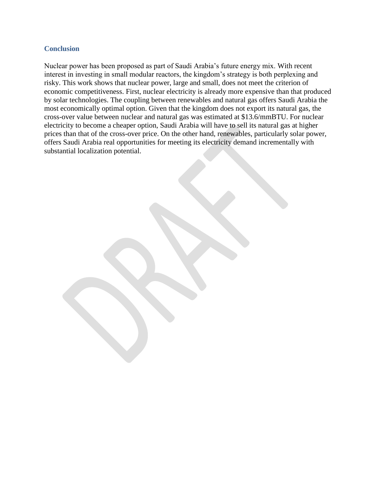### **Conclusion**

Nuclear power has been proposed as part of Saudi Arabia's future energy mix. With recent interest in investing in small modular reactors, the kingdom's strategy is both perplexing and risky. This work shows that nuclear power, large and small, does not meet the criterion of economic competitiveness. First, nuclear electricity is already more expensive than that produced by solar technologies. The coupling between renewables and natural gas offers Saudi Arabia the most economically optimal option. Given that the kingdom does not export its natural gas, the cross-over value between nuclear and natural gas was estimated at \$13.6/mmBTU. For nuclear electricity to become a cheaper option, Saudi Arabia will have to sell its natural gas at higher prices than that of the cross-over price. On the other hand, renewables, particularly solar power, offers Saudi Arabia real opportunities for meeting its electricity demand incrementally with substantial localization potential.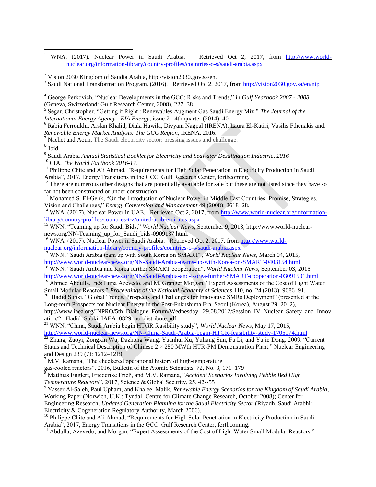$\mathbf{1}$ <sup>1</sup> WNA. (2017). Nuclear Power in Saudi Arabia. Retrieved Oct 2, 2017, from [http://www.world](http://www.world-nuclear.org/information-library/country-profiles/countries-o-s/saudi-arabia.aspx)[nuclear.org/information-library/country-profiles/countries-o-s/saudi-arabia.aspx](http://www.world-nuclear.org/information-library/country-profiles/countries-o-s/saudi-arabia.aspx)

<sup>2</sup> Vision 2030 Kingdom of Saudia Arabia, http://vision2030.gov.sa/en.

<sup>3</sup> Saudi National Transformation Program. (2016). Retrieved Otc 2, 2017, from <http://vision2030.gov.sa/en/ntp>

<sup>4</sup> George Perkovich, "Nuclear Developments in the GCC: Risks and Trends," in *Gulf Yearbook 2007 - 2008* (Geneva, Switzerland: Gulf Research Center, 2008), 227–38.

5 Segar, Christopher. "Getting it Right : Renewables Augment Gas Saudi Energy Mix." *The Journal of the International Energy Agency - EIA Energy,* issue 7 - 4th quarter (2014): 40.

<sup>6</sup> Rabia Ferroukhi, Arslan Khalid, Diala Hawila, Divyam Nagpal (IRENA), Laura El-Katiri, Vasilis Fthenakis and. *Renewable Energy Market Analysis: The GCC Region,* IRENA, 2016.

Nachet and Aoun, The Saudi electricity sector: pressing issues and challenge.

8 Ibid.

9 Saudi Arabia *Annual Statistical Booklet for Electricity and Seawater Desalination Industrie, 2016* <sup>10</sup> CIA, *The World Factbook 2016-17*.

<sup>11</sup> Philippe Chite and Ali Ahmad, "Requirements for High Solar Penetration in Electricity Production in Saudi Arabia", 2017, Energy Transitions in the GCC, Gulf Research Center, forthcoming.

<sup>12</sup> There are numerous other designs that are potentially available for sale but these are not listed since they have so far not been constructed or under construction.

<sup>13</sup> Mohamed S. El-Genk, "On the Introduction of Nuclear Power in Middle East Countries: Promise, Strategies, Vision and Challenges," *Energy Conversion and Management* 49 (2008): 2618–28.

<sup>14</sup> WNA. (2017). Nuclear Power in UAE. Retrieved Oct 2, 2017, from [http://www.world-nuclear.org/information](http://www.world-nuclear.org/information-library/country-profiles/countries-t-z/united-arab-emirates.aspx)[library/country-profiles/countries-t-z/united-arab-emirates.aspx](http://www.world-nuclear.org/information-library/country-profiles/countries-t-z/united-arab-emirates.aspx)

<sup>15</sup> WNN, "Teaming up for Saudi Bids," *World Nuclear News*, September 9, 2013, http://www.world-nuclearnews.org/NN-Teaming\_up\_for\_Saudi\_bids-0909137.html.

<sup>16</sup> WNA. (2017). Nuclear Power in Saudi Arabia. Retrieved Oct 2, 2017, from [http://www.world](http://www.world-nuclear.org/information-library/country-profiles/countries-o-s/saudi-arabia.aspx)[nuclear.org/information-library/country-profiles/countries-o-s/saudi-arabia.aspx](http://www.world-nuclear.org/information-library/country-profiles/countries-o-s/saudi-arabia.aspx)

<sup>17</sup> WNN, "Saudi Arabia team up with South Korea on SMART", *World Nuclear News*, March 04, 2015, <http://www.world-nuclear-news.org/NN-Saudi-Arabia-teams-up-with-Korea-on-SMART-0403154.html>

<sup>18</sup> WNN, "Saudi Arabia and Korea further SMART cooperation", *World Nuclear News*, September 03, 2015, <http://www.world-nuclear-news.org/NN-Saudi-Arabia-and-Korea-further-SMART-cooperation-03091501.html>

<sup>19</sup> Ahmed Abdulla, Inês Lima Azevedo, and M. Granger Morgan, "Expert Assessments of the Cost of Light Water Small Modular Reactors," *Proceedings of the National Academy of Sciences* 110, no. 24 (2013): 9686–91.

<sup>20</sup> Hadid Subki, "Global Trends, Prospects and Challenges for Innovative SMRs Deployment" (presented at the Long-term Prospects for Nuclear Energy in the Post-Fukushima Era, Seoul (Korea), August 29, 2012), http://www.iaea.org/INPRO/5th\_Dialogue\_Forum/Wednesday,\_29.08.2012/Session\_IV\_Nuclear\_Safety\_and\_Innov ation/2.\_Hadid\_Subki\_IAEA\_0829\_no\_distribute.pdf

<sup>21</sup> WNN, "China, Saudi Arabia begin HTGR feasibility study", *World Nuclear News*, May 17, 2015,

<http://www.world-nuclear-news.org/NN-China-Saudi-Arabia-begin-HTGR-feasibility-study-1705174.html>

 $^{22}$  Zhang, Zuoyi, Zongxin Wu, Dazhong Wang, Yuanhui Xu, Yuliang Sun, Fu Li, and Yujie Dong. 2009. "Current Status and Technical Description of Chinese  $2 \times 250$  MWth HTR-PM Demonstration Plant." Nuclear Engineering and Design 239 (7): 1212–1219

 $7$  M.V. Ramana, "The checkered operational history of high-temperature

gas-cooled reactors", 2016, Bulletin of the Atomic Scientists, 72, No. 3, 171–179

<sup>8</sup> Matthias Englert, Friederike Frieß, and M.V. Ramana, "*Accident Scenarios Involving Pebble Bed High Temperature Reactors*", 2017, Science & Global Security, 25, 42--55

<sup>9</sup> Yasser Al-Saleh, Paul Upham, and Khaleel Malik, *Renewable Energy Scenarios for the Kingdom of Saudi Arabia*, Working Paper (Norwich, U.K.: Tyndall Centre for Climate Change Research, October 2008); Center for Engineering Research, *Updated Generation Planning for the Saudi Electricity Sector* (Riyadh, Saudi Arabhi: Electricity & Cogeneration Regulatory Authority, March 2006).

<sup>10</sup> Philippe Chite and Ali Ahmad, "Requirements for High Solar Penetration in Electricity Production in Saudi Arabia", 2017, Energy Transitions in the GCC, Gulf Research Center, forthcoming.

<sup>11</sup> Abdulla, Azevedo, and Morgan, "Expert Assessments of the Cost of Light Water Small Modular Reactors."